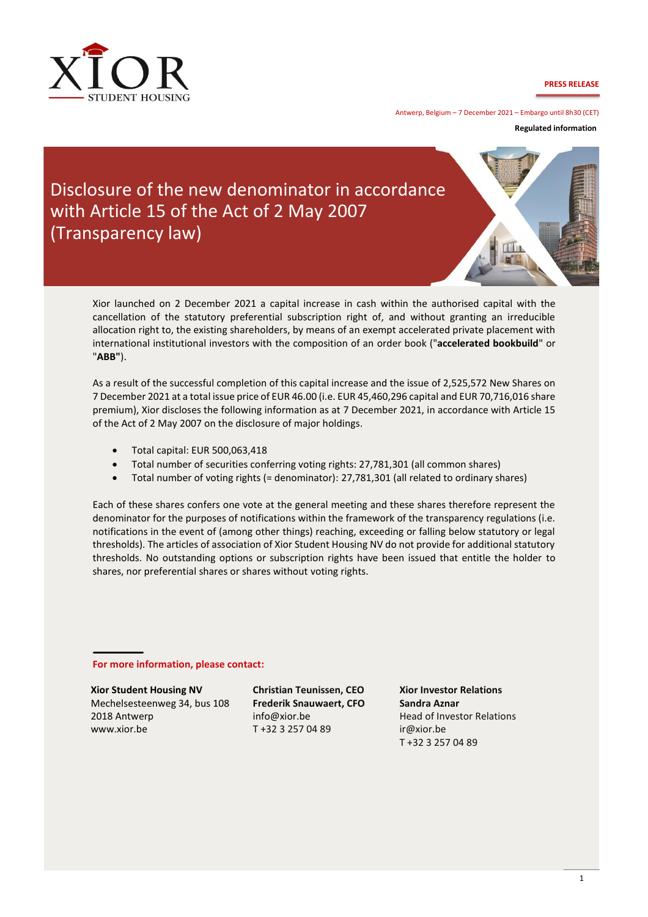

**PRESS RELEASE**

Antwerp, Belgium – 7 December 2021 – Embargo until 8h30 (CET)

**Regulated information** 

## Disclosure of the new denominator in accordance with Article 15 of the Act of 2 May 2007 (Transparency law)



Xior launched on 2 December 2021 a capital increase in cash within the authorised capital with the cancellation of the statutory preferential subscription right of, and without granting an irreducible allocation right to, the existing shareholders, by means of an exempt accelerated private placement with international institutional investors with the composition of an order book ("**accelerated bookbuild**" or "**ABB"**).

As a result of the successful completion of this capital increase and the issue of 2,525,572 New Shares on 7 December 2021 at a total issue price of EUR 46.00 (i.e. EUR 45,460,296 capital and EUR 70,716,016 share premium), Xior discloses the following information as at 7 December 2021, in accordance with Article 15 of the Act of 2 May 2007 on the disclosure of major holdings.

- Total capital: EUR 500,063,418
- Total number of securities conferring voting rights: 27,781,301 (all common shares)
- Total number of voting rights (= denominator): 27,781,301 (all related to ordinary shares)

Each of these shares confers one vote at the general meeting and these shares therefore represent the denominator for the purposes of notifications within the framework of the transparency regulations (i.e. notifications in the event of (among other things) reaching, exceeding or falling below statutory or legal thresholds). The articles of association of Xior Student Housing NV do not provide for additional statutory thresholds. No outstanding options or subscription rights have been issued that entitle the holder to shares, nor preferential shares or shares without voting rights.

**For more information, please contact:**

**Xior Student Housing NV**

Mechelsesteenweg 34, bus 108 2018 Antwerp www.xior.be

**Christian Teunissen, CEO Frederik Snauwaert, CFO**  info@xior.be T +32 3 257 04 89

**Xior Investor Relations Sandra Aznar** Head of Investor Relations ir@xior.be T +32 3 257 04 89